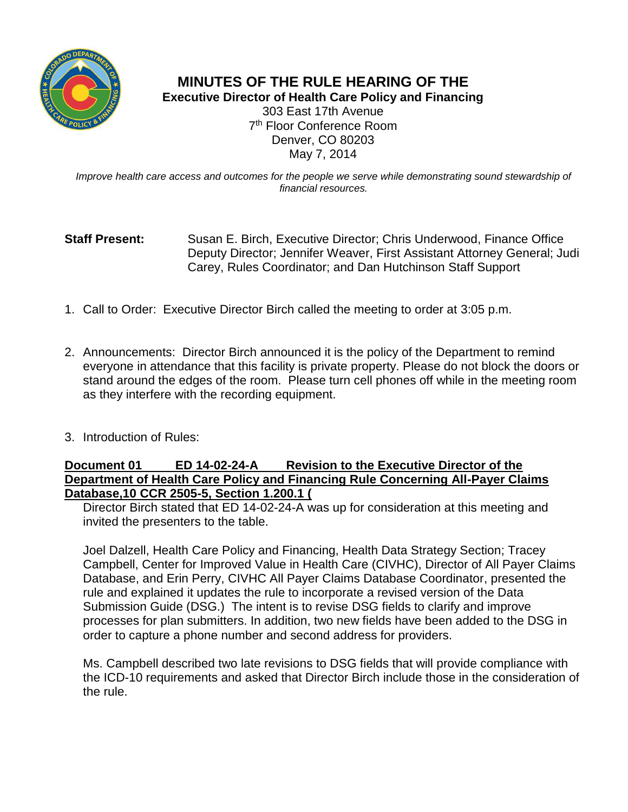

## **MINUTES OF THE RULE HEARING OF THE Executive Director of Health Care Policy and Financing**

303 East 17th Avenue 7 th Floor Conference Room Denver, CO 80203 May 7, 2014

*Improve health care access and outcomes for the people we serve while demonstrating sound stewardship of financial resources.*

## **Staff Present:** Susan E. Birch, Executive Director; Chris Underwood, Finance Office Deputy Director; Jennifer Weaver, First Assistant Attorney General; Judi Carey, Rules Coordinator; and Dan Hutchinson Staff Support

- 1. Call to Order: Executive Director Birch called the meeting to order at 3:05 p.m.
- 2. Announcements: Director Birch announced it is the policy of the Department to remind everyone in attendance that this facility is private property. Please do not block the doors or stand around the edges of the room. Please turn cell phones off while in the meeting room as they interfere with the recording equipment.
- 3. Introduction of Rules:

## **Document 01 ED 14-02-24-A Revision to the Executive Director of the Department of Health Care Policy and Financing Rule Concerning All-Payer Claims Database,10 CCR 2505-5, Section 1.200.1 (**

Director Birch stated that ED 14-02-24-A was up for consideration at this meeting and invited the presenters to the table.

Joel Dalzell, Health Care Policy and Financing, Health Data Strategy Section; Tracey Campbell, Center for Improved Value in Health Care (CIVHC), Director of All Payer Claims Database, and Erin Perry, CIVHC All Payer Claims Database Coordinator, presented the rule and explained it updates the rule to incorporate a revised version of the Data Submission Guide (DSG.) The intent is to revise DSG fields to clarify and improve processes for plan submitters. In addition, two new fields have been added to the DSG in order to capture a phone number and second address for providers.

Ms. Campbell described two late revisions to DSG fields that will provide compliance with the ICD-10 requirements and asked that Director Birch include those in the consideration of the rule.